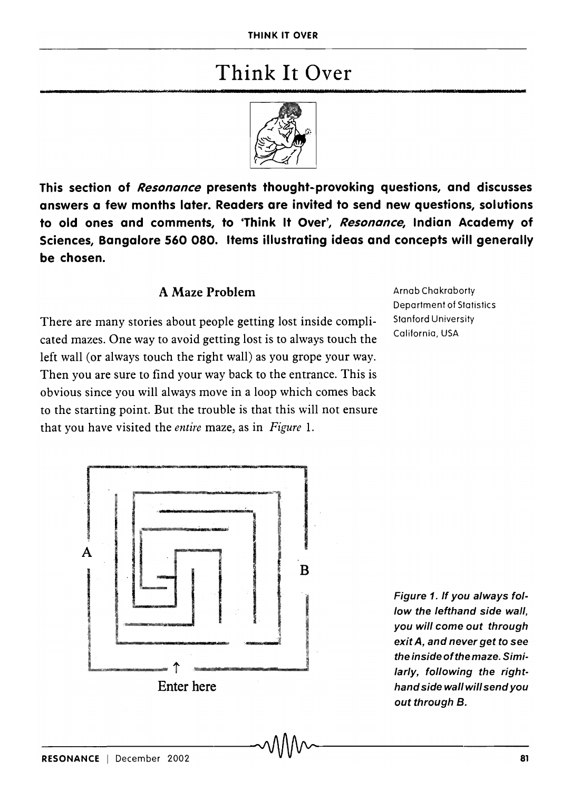## Think It Over



This section of *Resonance* presents thought-provoking questions, and discusses answers a few months later. Readers are invited to send new questions, solutions to old ones and comments, to 'Think It Over', *Resonance,* Indian Academy of Sciences, Bangalore 560 080. Items illustrating ideas and concepts will generally be chosen.

## A Maze Problem

There are many stories about people getting lost inside complicated mazes. One way to avoid getting lost is to always touch the left wall (or always touch the right wall) as you grope your way. Then you are sure to find your way back to the entrance. This is obvious since you will always move in a loop which comes back to the starting point. But the trouble is that this will not ensure that you have visited the *entire* maze, as in *Figure* 1.

Arnab Chakraborty Department of Statistics Stanford University California, USA



Figure 1. If you always follow the lefthand side wall, you will come out through exit A, and never get to see the inside of the maze. Similarly, following the righthand side wall will send you out through B.